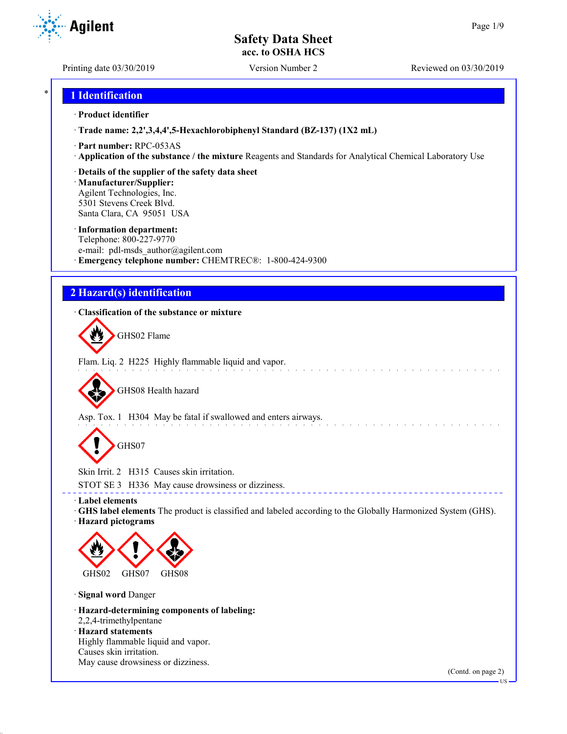Printing date 03/30/2019 Version Number 2 Reviewed on 03/30/2019

**Agilent** 

## \* **1 Identification**

### · **Product identifier**

· **Trade name: 2,2',3,4,4',5-Hexachlorobiphenyl Standard (BZ-137) (1X2 mL)**

- · **Part number:** RPC-053AS
- · **Application of the substance / the mixture** Reagents and Standards for Analytical Chemical Laboratory Use
- · **Details of the supplier of the safety data sheet**

· **Manufacturer/Supplier:** Agilent Technologies, Inc. 5301 Stevens Creek Blvd. Santa Clara, CA 95051 USA

#### · **Information department:**

Telephone: 800-227-9770 e-mail: pdl-msds author@agilent.com · **Emergency telephone number:** CHEMTREC®: 1-800-424-9300

## **2 Hazard(s) identification**

## · **Classification of the substance or mixture**

GHS02 Flame

Flam. Liq. 2 H225 Highly flammable liquid and vapor. المتعاطي والمتعاط والمتعاطية

GHS08 Health hazard

Asp. Tox. 1 H304 May be fatal if swallowed and enters airways.

GHS07

Skin Irrit. 2 H315 Causes skin irritation.

STOT SE 3 H336 May cause drowsiness or dizziness.

· **Label elements**

· **GHS label elements** The product is classified and labeled according to the Globally Harmonized System (GHS). · **Hazard pictograms**

\_\_\_\_\_\_\_\_\_\_\_\_\_\_\_\_\_\_\_\_\_\_\_\_\_\_\_\_\_\_



· **Signal word** Danger

· **Hazard-determining components of labeling:** 2,2,4-trimethylpentane · **Hazard statements** Highly flammable liquid and vapor. Causes skin irritation.

May cause drowsiness or dizziness.

(Contd. on page 2)

US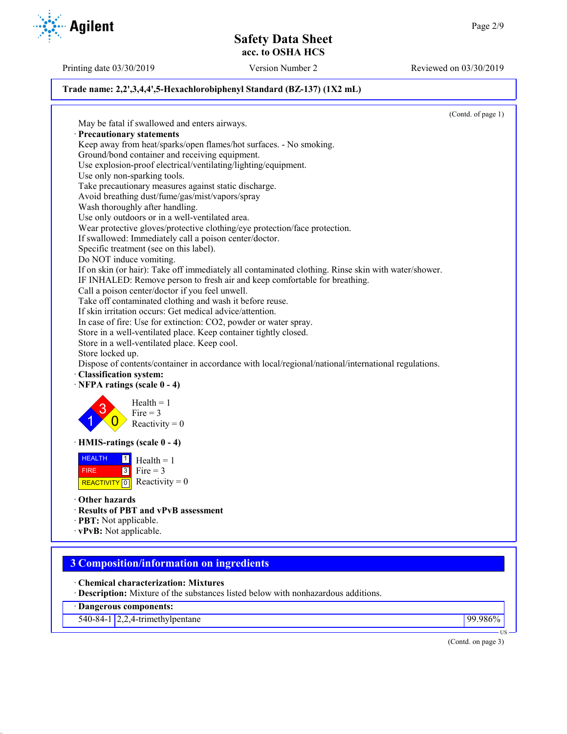Printing date 03/30/2019 Version Number 2 Reviewed on 03/30/2019

## **Trade name: 2,2',3,4,4',5-Hexachlorobiphenyl Standard (BZ-137) (1X2 mL)**

(Contd. of page 1) May be fatal if swallowed and enters airways. · **Precautionary statements** Keep away from heat/sparks/open flames/hot surfaces. - No smoking. Ground/bond container and receiving equipment. Use explosion-proof electrical/ventilating/lighting/equipment. Use only non-sparking tools. Take precautionary measures against static discharge. Avoid breathing dust/fume/gas/mist/vapors/spray Wash thoroughly after handling. Use only outdoors or in a well-ventilated area. Wear protective gloves/protective clothing/eye protection/face protection. If swallowed: Immediately call a poison center/doctor. Specific treatment (see on this label). Do NOT induce vomiting. If on skin (or hair): Take off immediately all contaminated clothing. Rinse skin with water/shower. IF INHALED: Remove person to fresh air and keep comfortable for breathing. Call a poison center/doctor if you feel unwell. Take off contaminated clothing and wash it before reuse. If skin irritation occurs: Get medical advice/attention. In case of fire: Use for extinction: CO2, powder or water spray. Store in a well-ventilated place. Keep container tightly closed. Store in a well-ventilated place. Keep cool. Store locked up. Dispose of contents/container in accordance with local/regional/national/international regulations. · **Classification system:** · **NFPA ratings (scale 0 - 4)** 1 3  $\overline{0}$  $Health = 1$ Fire  $= 3$ Reactivity  $= 0$ · **HMIS-ratings (scale 0 - 4) HEALTH**  FIRE REACTIVITY  $\boxed{0}$  Reactivity = 0  $\frac{1}{\Box}$  Health = 1  $3$  Fire = 3 · **Other hazards** · **Results of PBT and vPvB assessment** · **PBT:** Not applicable. · **vPvB:** Not applicable. **3 Composition/information on ingredients** · **Chemical characterization: Mixtures** · **Description:** Mixture of the substances listed below with nonhazardous additions.

· **Dangerous components:**

540-84-1 2,2,4-trimethylpentane 99.986%

(Contd. on page 3)

US

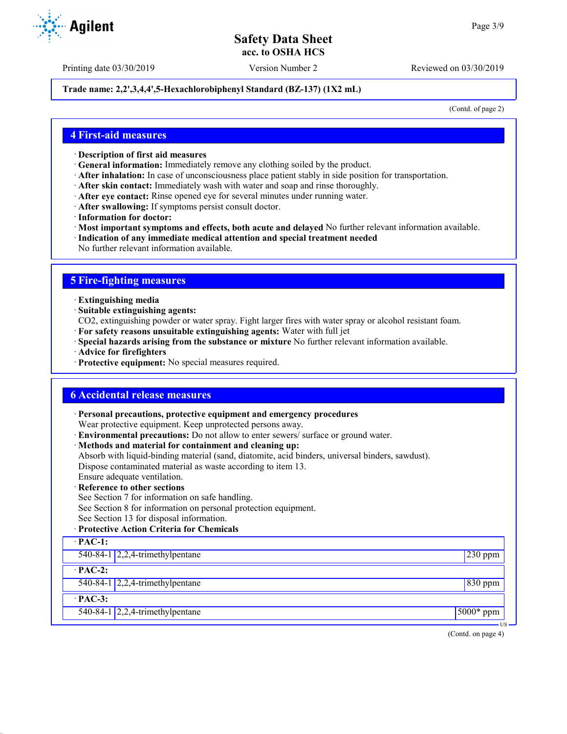Printing date 03/30/2019 Version Number 2 Reviewed on 03/30/2019

### **Trade name: 2,2',3,4,4',5-Hexachlorobiphenyl Standard (BZ-137) (1X2 mL)**

(Contd. of page 2)

## **4 First-aid measures**

- · **Description of first aid measures**
- · **General information:** Immediately remove any clothing soiled by the product.
- · **After inhalation:** In case of unconsciousness place patient stably in side position for transportation.
- · **After skin contact:** Immediately wash with water and soap and rinse thoroughly.
- · **After eye contact:** Rinse opened eye for several minutes under running water.
- · **After swallowing:** If symptoms persist consult doctor.
- · **Information for doctor:**
- · **Most important symptoms and effects, both acute and delayed** No further relevant information available.
- · **Indication of any immediate medical attention and special treatment needed**
- No further relevant information available.

## **5 Fire-fighting measures**

- · **Extinguishing media**
- · **Suitable extinguishing agents:**
- CO2, extinguishing powder or water spray. Fight larger fires with water spray or alcohol resistant foam.
- · **For safety reasons unsuitable extinguishing agents:** Water with full jet
- · **Special hazards arising from the substance or mixture** No further relevant information available.
- · **Advice for firefighters**
- · **Protective equipment:** No special measures required.

## **6 Accidental release measures**

· **Personal precautions, protective equipment and emergency procedures**

Wear protective equipment. Keep unprotected persons away.

- · **Environmental precautions:** Do not allow to enter sewers/ surface or ground water.
- · **Methods and material for containment and cleaning up:**
- Absorb with liquid-binding material (sand, diatomite, acid binders, universal binders, sawdust).

Dispose contaminated material as waste according to item 13.

- Ensure adequate ventilation.
- **Reference to other sections**
- See Section 7 for information on safe handling.
- See Section 8 for information on personal protection equipment.
- See Section 13 for disposal information.

## · **Protective Action Criteria for Chemicals**

| $PAC-1$ :                                 |                 |
|-------------------------------------------|-----------------|
| 540-84-1 $\sqrt{2,2,4}$ -trimethylpentane | $\vert$ 230 ppm |
| $PAC-2$ :                                 |                 |
| 540-84-1 $\vert$ 2,2,4-trimethylpentane   | $830$ ppm       |
| $PAC-3$ :                                 |                 |
| 540-84-1 $\sqrt{2,2,4}$ -trimethylpentane | $5000*$ ppm     |
|                                           | US –            |

(Contd. on page 4)

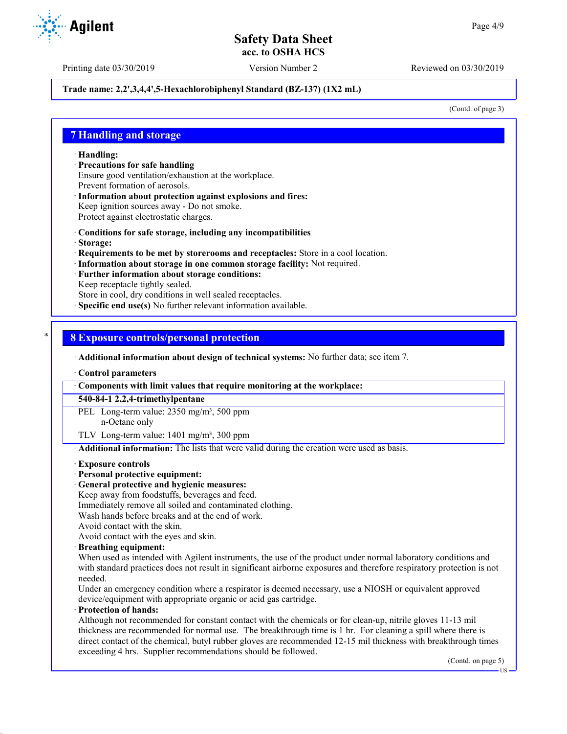**Agilent** 

Printing date 03/30/2019 Version Number 2 Reviewed on 03/30/2019

## **Trade name: 2,2',3,4,4',5-Hexachlorobiphenyl Standard (BZ-137) (1X2 mL)**

(Contd. of page 3)

## **7 Handling and storage**

· **Handling:**

- · **Precautions for safe handling** Ensure good ventilation/exhaustion at the workplace. Prevent formation of aerosols.
- Information about protection against explosions and fires: Keep ignition sources away - Do not smoke. Protect against electrostatic charges.
- · **Conditions for safe storage, including any incompatibilities**
- · **Storage:**
- · **Requirements to be met by storerooms and receptacles:** Store in a cool location.
- · **Information about storage in one common storage facility:** Not required.
- · **Further information about storage conditions:**
- Keep receptacle tightly sealed.

Store in cool, dry conditions in well sealed receptacles.

**Specific end use(s)** No further relevant information available.

## \* **8 Exposure controls/personal protection**

· **Additional information about design of technical systems:** No further data; see item 7.

· **Control parameters**

· **Components with limit values that require monitoring at the workplace:**

**540-84-1 2,2,4-trimethylpentane**

PEL Long-term value: 2350 mg/m<sup>3</sup>, 500 ppm n-Octane only

TLV Long-term value:  $1401 \text{ mg/m}^3$ , 300 ppm

· **Additional information:** The lists that were valid during the creation were used as basis.

#### · **Exposure controls**

### · **Personal protective equipment:**

· **General protective and hygienic measures:**

Keep away from foodstuffs, beverages and feed.

Immediately remove all soiled and contaminated clothing.

Wash hands before breaks and at the end of work.

Avoid contact with the skin.

Avoid contact with the eyes and skin.

#### · **Breathing equipment:**

When used as intended with Agilent instruments, the use of the product under normal laboratory conditions and with standard practices does not result in significant airborne exposures and therefore respiratory protection is not needed.

Under an emergency condition where a respirator is deemed necessary, use a NIOSH or equivalent approved device/equipment with appropriate organic or acid gas cartridge.

#### · **Protection of hands:**

Although not recommended for constant contact with the chemicals or for clean-up, nitrile gloves 11-13 mil thickness are recommended for normal use. The breakthrough time is 1 hr. For cleaning a spill where there is direct contact of the chemical, butyl rubber gloves are recommended 12-15 mil thickness with breakthrough times exceeding 4 hrs. Supplier recommendations should be followed.

(Contd. on page 5)

US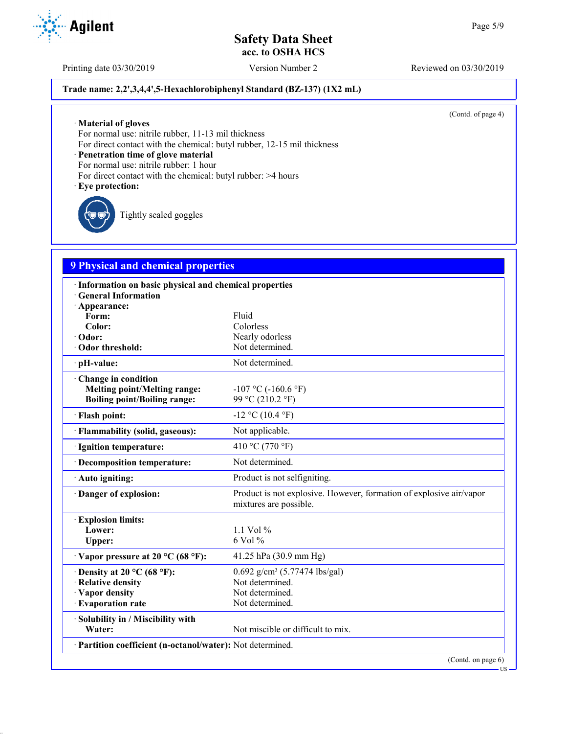## **Trade name: 2,2',3,4,4',5-Hexachlorobiphenyl Standard (BZ-137) (1X2 mL)**

(Contd. of page 4)

· **Material of gloves**

For normal use: nitrile rubber, 11-13 mil thickness

For direct contact with the chemical: butyl rubber, 12-15 mil thickness

· **Penetration time of glove material**

For normal use: nitrile rubber: 1 hour

- For direct contact with the chemical: butyl rubber: >4 hours
- · **Eye protection:**

Tightly sealed goggles

## **9 Physical and chemical properties**

| · Information on basic physical and chemical properties                                           |                                                                                               |
|---------------------------------------------------------------------------------------------------|-----------------------------------------------------------------------------------------------|
| <b>General Information</b>                                                                        |                                                                                               |
| · Appearance:<br>Form:                                                                            | Fluid                                                                                         |
| Color:                                                                                            | Colorless                                                                                     |
| · Odor:                                                                                           | Nearly odorless                                                                               |
| Odor threshold:                                                                                   | Not determined.                                                                               |
| · pH-value:                                                                                       | Not determined.                                                                               |
| Change in condition<br><b>Melting point/Melting range:</b><br><b>Boiling point/Boiling range:</b> | $-107$ °C ( $-160.6$ °F)<br>99 °C (210.2 °F)                                                  |
| · Flash point:                                                                                    | $-12$ °C (10.4 °F)                                                                            |
| · Flammability (solid, gaseous):                                                                  | Not applicable.                                                                               |
| · Ignition temperature:                                                                           | 410 °C (770 °F)                                                                               |
| · Decomposition temperature:                                                                      | Not determined.                                                                               |
| · Auto igniting:                                                                                  | Product is not selfigniting.                                                                  |
| · Danger of explosion:                                                                            | Product is not explosive. However, formation of explosive air/vapor<br>mixtures are possible. |
| <b>Explosion limits:</b>                                                                          |                                                                                               |
| Lower:                                                                                            | 1.1 Vol $%$                                                                                   |
| Upper:                                                                                            | 6 Vol %                                                                                       |
| $\cdot$ Vapor pressure at 20 °C (68 °F):                                                          | 41.25 hPa (30.9 mm Hg)                                                                        |
| $\cdot$ Density at 20 °C (68 °F):                                                                 | 0.692 g/cm <sup>3</sup> (5.77474 lbs/gal)                                                     |
| · Relative density                                                                                | Not determined.                                                                               |
| Vapor density                                                                                     | Not determined.                                                                               |
| · Evaporation rate                                                                                | Not determined.                                                                               |
| · Solubility in / Miscibility with                                                                |                                                                                               |
| Water:                                                                                            | Not miscible or difficult to mix.                                                             |
| Partition coefficient (n-octanol/water): Not determined.                                          |                                                                                               |
|                                                                                                   | (Contd. on page 6)                                                                            |



Printing date 03/30/2019 Version Number 2 Reviewed on 03/30/2019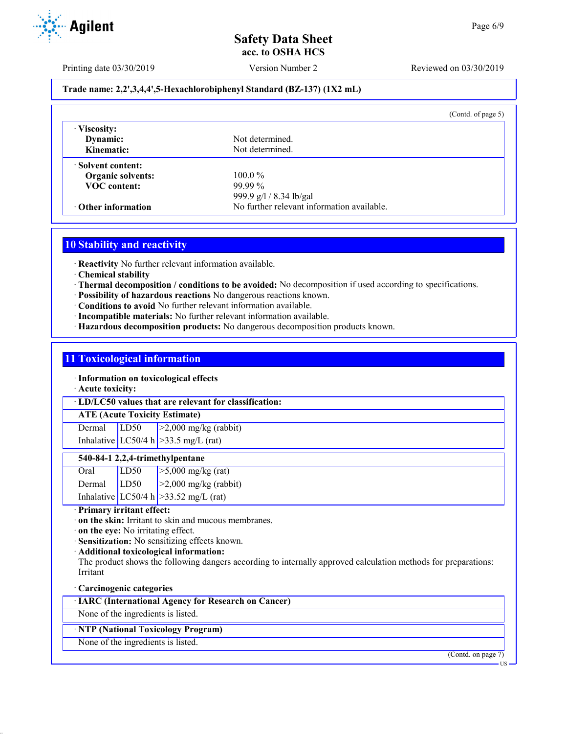

Printing date 03/30/2019 Version Number 2 Reviewed on 03/30/2019

## **Trade name: 2,2',3,4,4',5-Hexachlorobiphenyl Standard (BZ-137) (1X2 mL)**

|                                      | (Contd. of page $5$ )                      |
|--------------------------------------|--------------------------------------------|
| Viscosity:<br>Dynamic:<br>Kinematic: | Not determined.<br>Not determined.         |
| Solvent content:                     |                                            |
| <b>Organic solvents:</b>             | $100.0\%$                                  |
| <b>VOC</b> content:                  | $99.99\%$                                  |
|                                      | 999.9 g/l / 8.34 lb/gal                    |
| Other information                    | No further relevant information available. |

## **10 Stability and reactivity**

· **Reactivity** No further relevant information available.

- · **Chemical stability**
- · **Thermal decomposition / conditions to be avoided:** No decomposition if used according to specifications.
- · **Possibility of hazardous reactions** No dangerous reactions known.
- · **Conditions to avoid** No further relevant information available.
- · **Incompatible materials:** No further relevant information available.
- · **Hazardous decomposition products:** No dangerous decomposition products known.

## **11 Toxicological information**

· **Information on toxicological effects**

· **Acute toxicity:**

· **LD/LC50 values that are relevant for classification:**

## **ATE (Acute Toxicity Estimate)**

Dermal LD50  $\geq$ 2,000 mg/kg (rabbit) Inhalative  $LC50/4$  h  $>33.5$  mg/L (rat)

#### **540-84-1 2,2,4-trimethylpentane**

| Oral   | LD50 | $>5,000$ mg/kg (rat)                       |
|--------|------|--------------------------------------------|
| Dermal | LD50 | $\vert$ >2,000 mg/kg (rabbit)              |
|        |      | Inhalative LC50/4 h $\ge$ 33.52 mg/L (rat) |

## · **Primary irritant effect:**

- · **on the skin:** Irritant to skin and mucous membranes.
- · **on the eye:** No irritating effect.
- · **Sensitization:** No sensitizing effects known.
- · **Additional toxicological information:**

The product shows the following dangers according to internally approved calculation methods for preparations: Irritant

#### · **Carcinogenic categories**

## · **IARC (International Agency for Research on Cancer)**

None of the ingredients is listed.

## · **NTP (National Toxicology Program)**

None of the ingredients is listed.

(Contd. on page 7)

US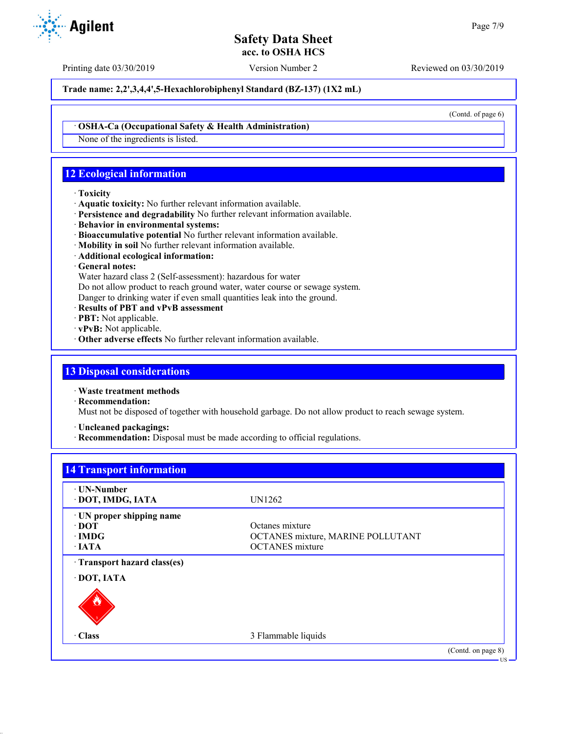Printing date 03/30/2019 Version Number 2 Reviewed on 03/30/2019

**Trade name: 2,2',3,4,4',5-Hexachlorobiphenyl Standard (BZ-137) (1X2 mL)**

(Contd. of page 6)

#### · **OSHA-Ca (Occupational Safety & Health Administration)**

None of the ingredients is listed.

## **12 Ecological information**

### · **Toxicity**

- · **Aquatic toxicity:** No further relevant information available.
- · **Persistence and degradability** No further relevant information available.
- · **Behavior in environmental systems:**
- · **Bioaccumulative potential** No further relevant information available.
- · **Mobility in soil** No further relevant information available.
- · **Additional ecological information:**

## · **General notes:**

Water hazard class 2 (Self-assessment): hazardous for water

Do not allow product to reach ground water, water course or sewage system.

Danger to drinking water if even small quantities leak into the ground.

- · **Results of PBT and vPvB assessment**
- · **PBT:** Not applicable.
- · **vPvB:** Not applicable.
- · **Other adverse effects** No further relevant information available.

## **13 Disposal considerations**

· **Waste treatment methods**

· **Recommendation:**

Must not be disposed of together with household garbage. Do not allow product to reach sewage system.

· **Uncleaned packagings:**

· **Recommendation:** Disposal must be made according to official regulations.

| <b>· UN-Number</b>         |                                   |  |
|----------------------------|-----------------------------------|--|
| DOT, IMDG, IATA            | UN1262                            |  |
| · UN proper shipping name  |                                   |  |
| $\cdot$ DOT                | Octanes mixture                   |  |
| $\cdot$ IMDG               | OCTANES mixture, MARINE POLLUTANT |  |
| $\cdot$ IATA               | <b>OCTANES</b> mixture            |  |
| Transport hazard class(es) |                                   |  |
| DOT, IATA                  |                                   |  |
|                            |                                   |  |
| · Class                    | 3 Flammable liquids               |  |

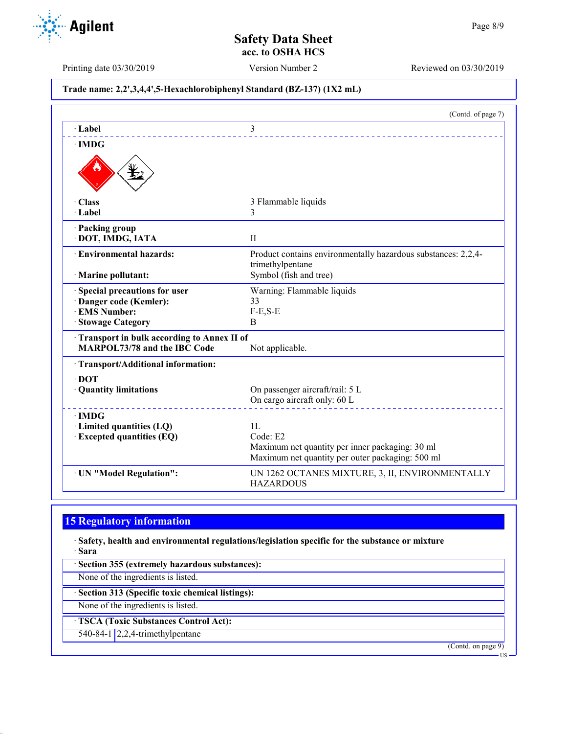Page 8/9

# Printing date 03/30/2019 Version Number 2 Reviewed on 03/30/2019 **Trade name: 2,2',3,4,4',5-Hexachlorobiphenyl Standard (BZ-137) (1X2 mL)** (Contd. of page 7) · **Label** 3 · **IMDG** · **Class** 3 Flammable liquids · **Label** 3 · **Packing group** · **DOT, IMDG, IATA** II · **Environmental hazards:** Product contains environmentally hazardous substances: 2,2,4 trimethylpentane · **Marine pollutant:** Symbol (fish and tree) · **Special precautions for user** Warning: Flammable liquids · **Danger code (Kemler):** 33  $\cdot$  **EMS Number:** · **Stowage Category** B · **Transport in bulk according to Annex II of MARPOL73/78 and the IBC Code** Not applicable. · **Transport/Additional information:** · **DOT** · **Quantity limitations** On passenger aircraft/rail: 5 L On cargo aircraft only: 60 L · **IMDG** · **Limited quantities (LQ)** 1L · **Excepted quantities (EQ)** Code: E2 Maximum net quantity per inner packaging: 30 ml Maximum net quantity per outer packaging: 500 ml · **UN "Model Regulation":** UN 1262 OCTANES MIXTURE, 3, II, ENVIRONMENTALLY HAZARDOUS

## **15 Regulatory information**

**Agilent** 

· **Safety, health and environmental regulations/legislation specific for the substance or mixture** · **Sara**

· **Section 355 (extremely hazardous substances):**

None of the ingredients is listed.

· **Section 313 (Specific toxic chemical listings):**

None of the ingredients is listed.

· **TSCA (Toxic Substances Control Act):**

540-84-1 2,2,4-trimethylpentane

(Contd. on page 9)

US